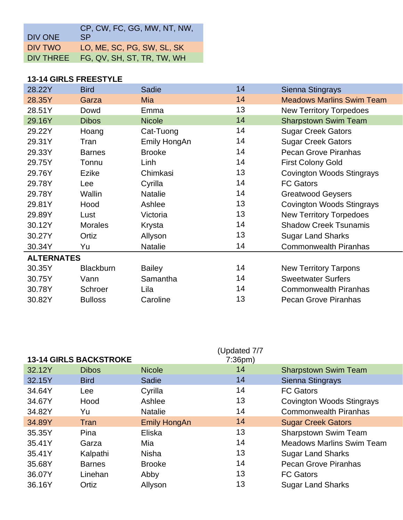| DIV ONE   | CP, CW, FC, GG, MW, NT, NW,<br>SP. |
|-----------|------------------------------------|
| DIV TWO   | LO, ME, SC, PG, SW, SL, SK         |
| DIV THREE | FG, QV, SH, ST, TR, TW, WH         |

## **13-14 GIRLS FREESTYLE**

| 28.22Y            | <b>Bird</b>      | Sadie          | 14 | Sienna Stingrays                 |  |
|-------------------|------------------|----------------|----|----------------------------------|--|
| 28.35Y            | Garza            | <b>Mia</b>     | 14 | <b>Meadows Marlins Swim Team</b> |  |
| 28.51Y            | Dowd             | Emma           | 13 | <b>New Territory Torpedoes</b>   |  |
| 29.16Y            | <b>Dibos</b>     | <b>Nicole</b>  | 14 | <b>Sharpstown Swim Team</b>      |  |
| 29.22Y            | Hoang            | Cat-Tuong      | 14 | <b>Sugar Creek Gators</b>        |  |
| 29.31Y            | Tran             | Emily HongAn   | 14 | <b>Sugar Creek Gators</b>        |  |
| 29.33Y            | <b>Barnes</b>    | <b>Brooke</b>  | 14 | <b>Pecan Grove Piranhas</b>      |  |
| 29.75Y            | Tonnu            | Linh           | 14 | <b>First Colony Gold</b>         |  |
| 29.76Y            | Ezike            | Chimkasi       | 13 | <b>Covington Woods Stingrays</b> |  |
| 29.78Y            | Lee              | Cyrilla        | 14 | <b>FC Gators</b>                 |  |
| 29.78Y            | Wallin           | <b>Natalie</b> | 14 | <b>Greatwood Geysers</b>         |  |
| 29.81Y            | Hood             | Ashlee         | 13 | <b>Covington Woods Stingrays</b> |  |
| 29.89Y            | Lust             | Victoria       | 13 | <b>New Territory Torpedoes</b>   |  |
| 30.12Y            | <b>Morales</b>   | Krysta         | 14 | <b>Shadow Creek Tsunamis</b>     |  |
| 30.27Y            | Ortiz            | Allyson        | 13 | <b>Sugar Land Sharks</b>         |  |
| 30.34Y            | Yu               | <b>Natalie</b> | 14 | <b>Commonwealth Piranhas</b>     |  |
| <b>ALTERNATES</b> |                  |                |    |                                  |  |
| 30.35Y            | <b>Blackburn</b> | <b>Bailey</b>  | 14 | <b>New Territory Tarpons</b>     |  |
| 30.75Y            | Vann             | Samantha       | 14 | <b>Sweetwater Surfers</b>        |  |
| 30.78Y            | Schroer          | Lila           | 14 | <b>Commonwealth Piranhas</b>     |  |
| 30.82Y            | <b>Bulloss</b>   | Caroline       | 13 | <b>Pecan Grove Piranhas</b>      |  |
|                   |                  |                |    |                                  |  |

|        | <b>13-14 GIRLS BACKSTROKE</b> |                     | (Updated 7/7<br>7:36 <sub>pm</sub> |                                  |
|--------|-------------------------------|---------------------|------------------------------------|----------------------------------|
| 32.12Y | <b>Dibos</b>                  | <b>Nicole</b>       | 14                                 | <b>Sharpstown Swim Team</b>      |
| 32.15Y | <b>Bird</b>                   | Sadie               | 14                                 | Sienna Stingrays                 |
| 34.64Y | Lee                           | Cyrilla             | 14                                 | <b>FC Gators</b>                 |
| 34.67Y | Hood                          | Ashlee              | 13                                 | <b>Covington Woods Stingrays</b> |
| 34.82Y | Yu                            | <b>Natalie</b>      | 14                                 | <b>Commonwealth Piranhas</b>     |
| 34.89Y | Tran                          | <b>Emily HongAn</b> | 14                                 | <b>Sugar Creek Gators</b>        |
| 35.35Y | Pina                          | Eliska              | 13                                 | Sharpstown Swim Team             |
| 35.41Y | Garza                         | Mia                 | 14                                 | <b>Meadows Marlins Swim Team</b> |
| 35.41Y | Kalpathi                      | <b>Nisha</b>        | 13                                 | <b>Sugar Land Sharks</b>         |
| 35.68Y | <b>Barnes</b>                 | <b>Brooke</b>       | 14                                 | <b>Pecan Grove Piranhas</b>      |
| 36.07Y | Linehan                       | Abby                | 13                                 | <b>FC Gators</b>                 |
| 36.16Y | Ortiz                         | Allyson             | 13                                 | <b>Sugar Land Sharks</b>         |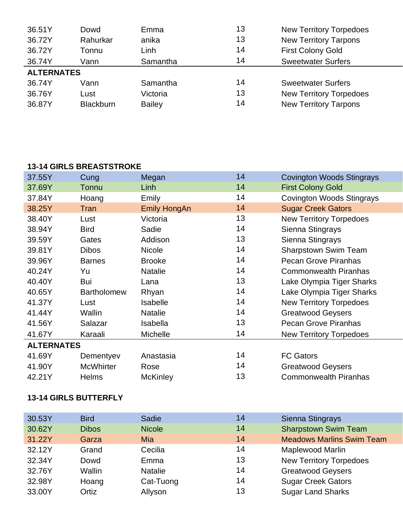| 36.51Y            | Dowd     | Emma     | 13 | <b>New Territory Torpedoes</b> |
|-------------------|----------|----------|----|--------------------------------|
| 36.72Y            | Rahurkar | anika    | 13 | <b>New Territory Tarpons</b>   |
| 36.72Y            | Tonnu    | Linh     | 14 | <b>First Colony Gold</b>       |
| 36.74Y            | Vann     | Samantha | 14 | <b>Sweetwater Surfers</b>      |
|                   |          |          |    |                                |
| <b>ALTERNATES</b> |          |          |    |                                |
| 36.74Y            | Vann     | Samantha | 14 | <b>Sweetwater Surfers</b>      |
| 36.76Y            | Lust     | Victoria | 13 | <b>New Territory Torpedoes</b> |

## **13-14 GIRLS BREASTSTROKE**

| 37.55Y            | Cung               | Megan               | 14 | <b>Covington Woods Stingrays</b> |
|-------------------|--------------------|---------------------|----|----------------------------------|
| 37.69Y            | Tonnu              | Linh                | 14 | <b>First Colony Gold</b>         |
| 37.84Y            | Hoang              | Emily               | 14 | <b>Covington Woods Stingrays</b> |
| 38.25Y            | Tran               | <b>Emily HongAn</b> | 14 | <b>Sugar Creek Gators</b>        |
| 38.40Y            | Lust               | Victoria            | 13 | <b>New Territory Torpedoes</b>   |
| 38.94Y            | <b>Bird</b>        | Sadie               | 14 | Sienna Stingrays                 |
| 39.59Y            | Gates              | Addison             | 13 | Sienna Stingrays                 |
| 39.81Y            | <b>Dibos</b>       | <b>Nicole</b>       | 14 | <b>Sharpstown Swim Team</b>      |
| 39.96Y            | <b>Barnes</b>      | <b>Brooke</b>       | 14 | Pecan Grove Piranhas             |
| 40.24Y            | Yu                 | <b>Natalie</b>      | 14 | <b>Commonwealth Piranhas</b>     |
| 40.40Y            | Bui                | Lana                | 13 | Lake Olympia Tiger Sharks        |
| 40.65Y            | <b>Bartholomew</b> | Rhyan               | 14 | Lake Olympia Tiger Sharks        |
| 41.37Y            | Lust               | <b>Isabelle</b>     | 14 | <b>New Territory Torpedoes</b>   |
| 41.44Y            | Wallin             | <b>Natalie</b>      | 14 | <b>Greatwood Geysers</b>         |
| 41.56Y            | Salazar            | Isabella            | 13 | <b>Pecan Grove Piranhas</b>      |
| 41.67Y            | Karaali            | <b>Michelle</b>     | 14 | <b>New Territory Torpedoes</b>   |
| <b>ALTERNATES</b> |                    |                     |    |                                  |
| 41.69Y            | Dementyev          | Anastasia           | 14 | <b>FC Gators</b>                 |
| 41.90Y            | <b>McWhirter</b>   | Rose                | 14 | <b>Greatwood Geysers</b>         |
| 42.21Y            | <b>Helms</b>       | <b>McKinley</b>     | 13 | <b>Commonwealth Piranhas</b>     |
|                   |                    |                     |    |                                  |

## **13-14 GIRLS BUTTERFLY**

| 30.53Y | <b>Bird</b>  | Sadie          | 14 | Sienna Stingrays                 |
|--------|--------------|----------------|----|----------------------------------|
| 30.62Y | <b>Dibos</b> | <b>Nicole</b>  | 14 | <b>Sharpstown Swim Team</b>      |
| 31.22Y | Garza        | Mia            | 14 | <b>Meadows Marlins Swim Team</b> |
| 32.12Y | Grand        | Cecilia        | 14 | Maplewood Marlin                 |
| 32.34Y | Dowd         | Emma           | 13 | <b>New Territory Torpedoes</b>   |
| 32.76Y | Wallin       | <b>Natalie</b> | 14 | <b>Greatwood Geysers</b>         |
| 32.98Y | Hoang        | Cat-Tuong      | 14 | <b>Sugar Creek Gators</b>        |
| 33.00Y | Ortiz        | Allyson        | 13 | <b>Sugar Land Sharks</b>         |